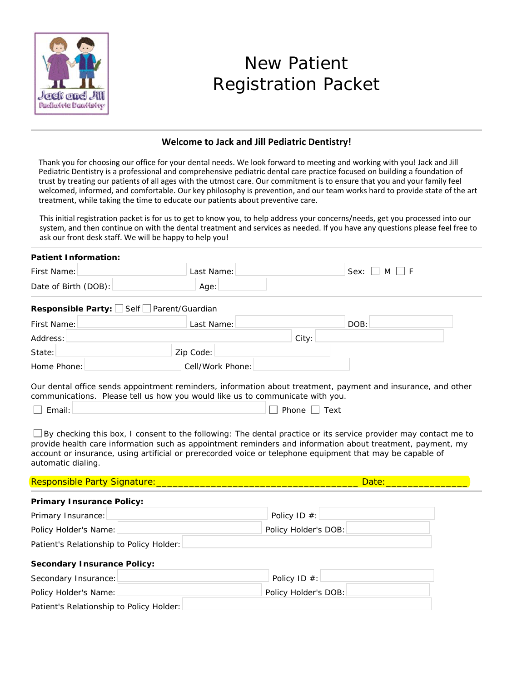

# New Patient Registration Packet

# **Welcome to Jack and Jill Pediatric Dentistry!**

Thank you for choosing our office for your dental needs. We look forward to meeting and working with you! Jack and Jill Pediatric Dentistry is a professional and comprehensive pediatric dental care practice focused on building a foundation of trust by treating our patients of all ages with the utmost care. Our commitment is to ensure that you and your family feel welcomed, informed, and comfortable. Our key philosophy is prevention, and our team works hard to provide state of the art treatment, while taking the time to educate our patients about preventive care.

This initial registration packet is for us to get to know you, to help address your concerns/needs, get you processed into our system, and then continue on with the dental treatment and services as needed. If you have any questions please feel free to ask our front desk staff. We will be happy to help you!

| Patient Information:                                                          |                  |                                                                                                                                                                                                                                      |  |
|-------------------------------------------------------------------------------|------------------|--------------------------------------------------------------------------------------------------------------------------------------------------------------------------------------------------------------------------------------|--|
| First Name:                                                                   | Last Name:       | MLF<br>$Sex: \Box$                                                                                                                                                                                                                   |  |
| Date of Birth (DOB):                                                          | Age:             |                                                                                                                                                                                                                                      |  |
| Responsible Party: Self <u>Dearent/Guardian</u>                               |                  |                                                                                                                                                                                                                                      |  |
| First Name:                                                                   | Last Name:       | DOB:                                                                                                                                                                                                                                 |  |
| Address:                                                                      |                  | City:                                                                                                                                                                                                                                |  |
| State:                                                                        | Zip Code:        |                                                                                                                                                                                                                                      |  |
| Home Phone:                                                                   | Cell/Work Phone: |                                                                                                                                                                                                                                      |  |
| communications. Please tell us how you would like us to communicate with you. |                  | Our dental office sends appointment reminders, information about treatment, payment and insurance, and other                                                                                                                         |  |
| Email:                                                                        |                  | Phone  <br>Text                                                                                                                                                                                                                      |  |
|                                                                               |                  | $\Box$ By checking this box, I consent to the following: The dental practice or its service provider may contact me to<br>provide health care information such as appointment reminders and information about treatment, payment, my |  |

account or insurance, using artificial or prerecorded voice or telephone equipment that may be capable of automatic dialing.

Responsible Party Signature:\_\_\_\_\_\_\_\_\_\_\_\_\_\_\_\_\_\_\_\_\_\_\_\_\_\_\_\_\_\_\_\_\_\_\_\_\_ Date:\_\_\_\_\_\_\_\_\_\_\_\_\_\_\_

## **Primary Insurance Policy:**

| Primary Insurance:    | Policy ID $#$ :      |
|-----------------------|----------------------|
| Policy Holder's Name: | Policy Holder's DOB: |
|                       |                      |

Patient's Relationship to Policy Holder:

## **Secondary Insurance Policy:**

| Secondary Insurance:                     |  | Policy ID $#$ :      |  |  |
|------------------------------------------|--|----------------------|--|--|
| Policy Holder's Name:                    |  | Policy Holder's DOB: |  |  |
| Patient's Relationship to Policy Holder: |  |                      |  |  |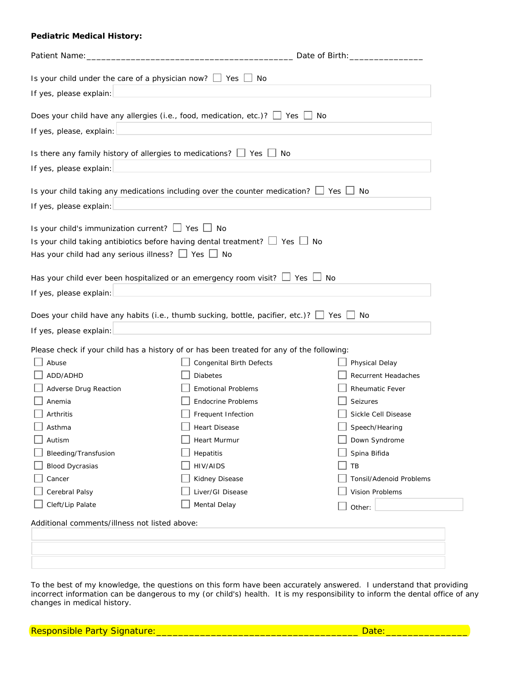#### **Pediatric Medical History:**

|                                                                                                                            | Date of Birth: _________________                                                                 |                                |  |
|----------------------------------------------------------------------------------------------------------------------------|--------------------------------------------------------------------------------------------------|--------------------------------|--|
| Is your child under the care of a physician now? $\Box$ Yes $\Box$ No                                                      |                                                                                                  |                                |  |
| If yes, please explain:                                                                                                    |                                                                                                  |                                |  |
|                                                                                                                            |                                                                                                  |                                |  |
|                                                                                                                            | Does your child have any allergies (i.e., food, medication, etc.)? $\Box$ Yes $\Box$ No          |                                |  |
| If yes, please, explain:                                                                                                   |                                                                                                  |                                |  |
| Is there any family history of allergies to medications? $\Box$ Yes $\Box$                                                 | No                                                                                               |                                |  |
| If yes, please explain:                                                                                                    |                                                                                                  |                                |  |
|                                                                                                                            | Is your child taking any medications including over the counter medication? $\Box$ Yes $\Box$ No |                                |  |
| If yes, please explain:                                                                                                    |                                                                                                  |                                |  |
| Is your child's immunization current? $\Box$ Yes $\Box$ No<br>Has your child had any serious illness? $\Box$ Yes $\Box$ No | Is your child taking antibiotics before having dental treatment? $\Box$ Yes $\Box$ No            |                                |  |
| Has your child ever been hospitalized or an emergency room visit? $\Box$ Yes                                               | <b>No</b>                                                                                        |                                |  |
| If yes, please explain:                                                                                                    |                                                                                                  |                                |  |
|                                                                                                                            | Does your child have any habits (i.e., thumb sucking, bottle, pacifier, etc.)? $\Box$ Yes $\Box$ | No                             |  |
| If yes, please explain:                                                                                                    |                                                                                                  |                                |  |
|                                                                                                                            | Please check if your child has a history of or has been treated for any of the following:        |                                |  |
| Abuse                                                                                                                      | Congenital Birth Defects                                                                         | Physical Delay                 |  |
| ADD/ADHD                                                                                                                   | <b>Diabetes</b>                                                                                  | Recurrent Headaches            |  |
| Adverse Drug Reaction                                                                                                      | <b>Emotional Problems</b>                                                                        | <b>Rheumatic Fever</b>         |  |
| Anemia                                                                                                                     | <b>Endocrine Problems</b>                                                                        | Seizures                       |  |
| Arthritis                                                                                                                  | Frequent Infection                                                                               | Sickle Cell Disease            |  |
| Asthma                                                                                                                     | <b>Heart Disease</b>                                                                             | Speech/Hearing                 |  |
| Autism                                                                                                                     | Heart Murmur                                                                                     | Down Syndrome                  |  |
| Bleeding/Transfusion                                                                                                       | Hepatitis                                                                                        | Spina Bifida                   |  |
| <b>Blood Dycrasias</b>                                                                                                     | HIV/AIDS                                                                                         | TB                             |  |
| Cancer                                                                                                                     | Kidney Disease                                                                                   | <b>Tonsil/Adenoid Problems</b> |  |
| Cerebral Palsy                                                                                                             | Liver/GI Disease                                                                                 | Vision Problems                |  |
| Cleft/Lip Palate                                                                                                           | Mental Delay                                                                                     | Other:                         |  |
| Additional comments/illness not listed above:                                                                              |                                                                                                  |                                |  |
|                                                                                                                            |                                                                                                  |                                |  |
|                                                                                                                            |                                                                                                  |                                |  |
|                                                                                                                            |                                                                                                  |                                |  |

To the best of my knowledge, the questions on this form have been accurately answered. I understand that providing incorrect information can be dangerous to my (or child's) health. It is my responsibility to inform the dental office of any changes in medical history.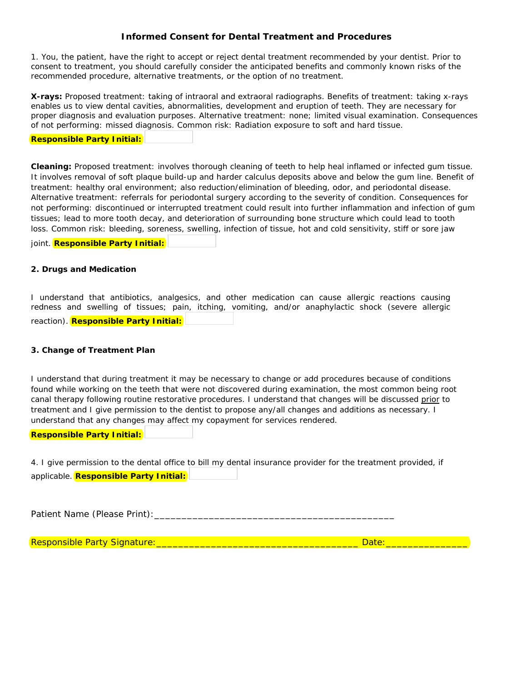## **Informed Consent for Dental Treatment and Procedures**

1. You, the patient, have the right to accept or reject dental treatment recommended by your dentist. Prior to consent to treatment, you should carefully consider the anticipated benefits and commonly known risks of the recommended procedure, alternative treatments, or the option of no treatment.

**X-rays:** *Proposed treatment: taking of intraoral and extraoral radiographs. Benefits of treatment: taking x-rays enables us to view dental cavities, abnormalities, development and eruption of teeth. They are necessary for proper diagnosis and evaluation purposes. Alternative treatment: none; limited visual examination. Consequences of not performing: missed diagnosis. Common risk: Radiation exposure to soft and hard tissue.* 

#### *Responsible Party Initial:*

**Cleaning:** *Proposed treatment: involves thorough cleaning of teeth to help heal inflamed or infected gum tissue.*  It involves removal of soft plaque build-up and harder calculus deposits above and below the gum line. Benefit of *treatment: healthy oral environment; also reduction/elimination of bleeding, odor, and periodontal disease. Alternative treatment: referrals for periodontal surgery according to the severity of condition. Consequences for not performing: discontinued or interrupted treatment could result into further inflammation and infection of gum tissues; lead to more tooth decay, and deterioration of surrounding bone structure which could lead to tooth loss. Common risk: bleeding, soreness, swelling, infection of tissue, hot and cold sensitivity, stiff or sore jaw* 

*joint. Responsible Party Initial:* 

### **2. Drugs and Medication**

I understand that antibiotics, analgesics, and other medication can cause allergic reactions causing redness and swelling of tissues; pain, itching, vomiting, and/or anaphylactic shock (severe allergic

reaction). *Responsible Party Initial:* 

## **3. Change of Treatment Plan**

I understand that during treatment it may be necessary to change or add procedures because of conditions found while working on the teeth that were not discovered during examination, the most common being root canal therapy following routine restorative procedures. I understand that changes will be discussed prior to treatment and I give permission to the dentist to propose any/all changes and additions as necessary. I understand that any changes may affect my copayment for services rendered.

*Responsible Party Initial:* 

4. I give permission to the dental office to bill my dental insurance provider for the treatment provided, if applicable. *Responsible Party Initial:* 

Patient Name (Please Print):\_\_\_\_\_\_\_\_\_\_\_\_\_\_\_\_\_\_\_\_\_\_\_\_\_\_\_\_\_\_\_\_\_\_\_\_\_\_\_\_\_\_\_\_

Responsible Party Signature:\_\_\_\_\_\_\_\_\_\_\_\_\_\_\_\_\_\_\_\_\_\_\_\_\_\_\_\_\_\_\_\_\_\_\_\_\_ Date:\_\_\_\_\_\_\_\_\_\_\_\_\_\_\_